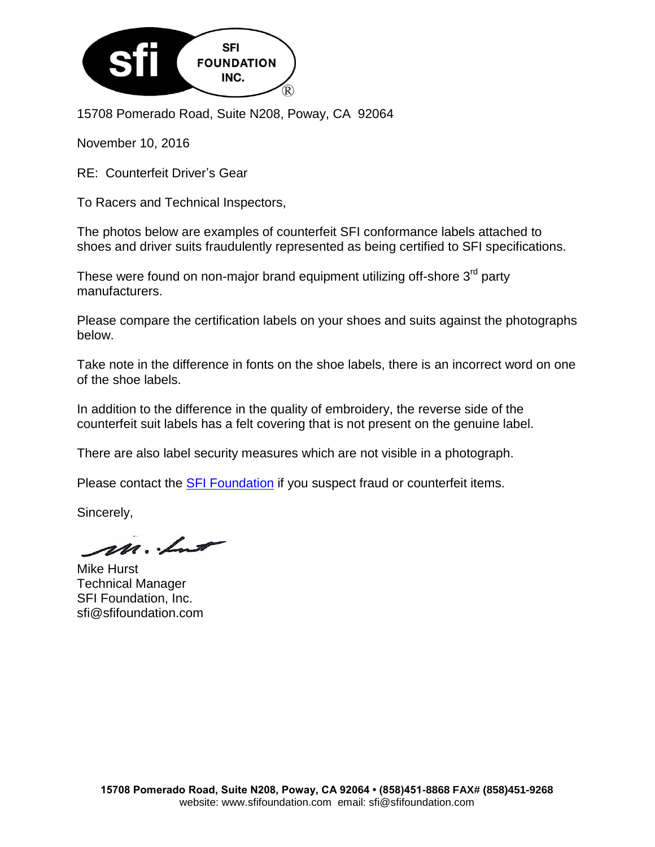

15708 Pomerado Road, Suite N208, Poway, CA 92064

November 10, 2016

RE: Counterfeit Driver's Gear

To Racers and Technical Inspectors,

The photos below are examples of counterfeit SFI conformance labels attached to shoes and driver suits fraudulently represented as being certified to SFI specifications.

These were found on non-major brand equipment utilizing off-shore 3<sup>rd</sup> party manufacturers.

Please compare the certification labels on your shoes and suits against the photographs below.

Take note in the difference in fonts on the shoe labels, there is an incorrect word on one of the shoe labels.

In addition to the difference in the quality of embroidery, the reverse side of the counterfeit suit labels has a felt covering that is not present on the genuine label.

There are also label security measures which are not visible in a photograph.

Please contact the **SFI Foundation** if you suspect fraud or counterfeit items.

Sincerely,

m. Lut

Mike Hurst Technical Manager SFI Foundation, Inc. sfi@sfifoundation.com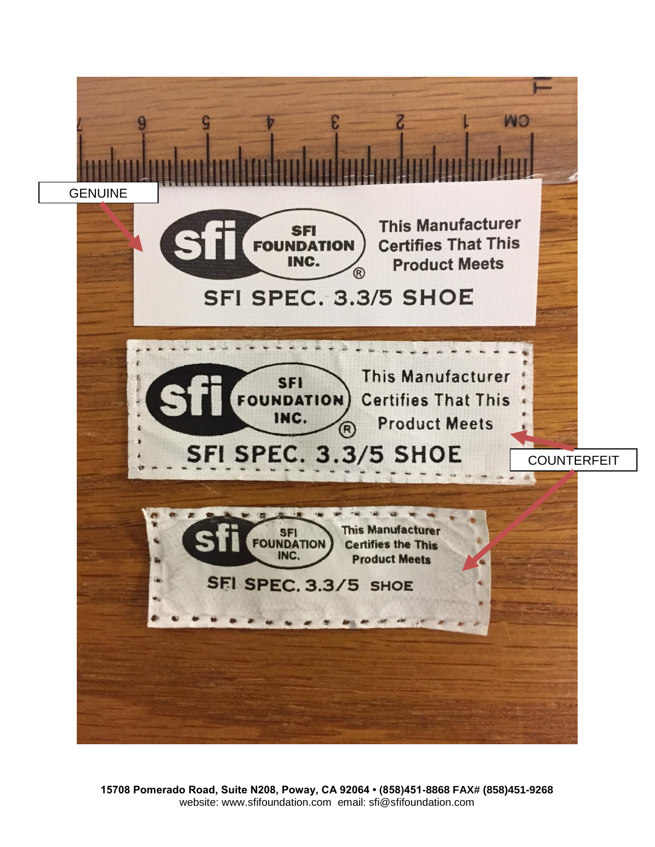